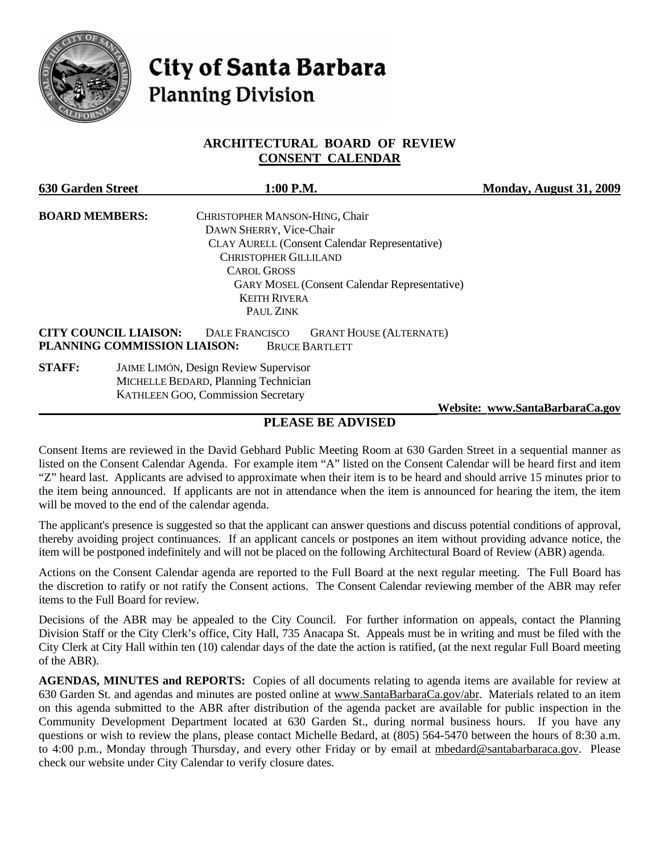

# **City of Santa Barbara Planning Division**

## **ARCHITECTURAL BOARD OF REVIEW CONSENT CALENDAR**

| <b>630 Garden Street</b>                                     | 1:00 P.M.                                                                        | Monday, August 31, 2009         |
|--------------------------------------------------------------|----------------------------------------------------------------------------------|---------------------------------|
| <b>BOARD MEMBERS:</b>                                        | CHRISTOPHER MANSON-HING, Chair                                                   |                                 |
|                                                              | DAWN SHERRY, Vice-Chair                                                          |                                 |
|                                                              | <b>CLAY AURELL (Consent Calendar Representative)</b>                             |                                 |
|                                                              | <b>CHRISTOPHER GILLILAND</b>                                                     |                                 |
|                                                              | <b>CAROL GROSS</b>                                                               |                                 |
|                                                              | <b>GARY MOSEL (Consent Calendar Representative)</b>                              |                                 |
|                                                              | <b>KEITH RIVERA</b>                                                              |                                 |
|                                                              | PAUL ZINK                                                                        |                                 |
| <b>CITY COUNCIL LIAISON:</b><br>PLANNING COMMISSION LIAISON: | <b>DALE FRANCISCO</b><br><b>GRANT HOUSE (ALTERNATE)</b><br><b>BRUCE BARTLETT</b> |                                 |
| <b>STAFF:</b>                                                | JAIME LIMÓN, Design Review Supervisor                                            |                                 |
|                                                              | MICHELLE BEDARD, Planning Technician                                             |                                 |
|                                                              | <b>KATHLEEN GOO, Commission Secretary</b>                                        |                                 |
|                                                              |                                                                                  | Website: www.SantaBarbaraCa.gov |

## **PLEASE BE ADVISED**

Consent Items are reviewed in the David Gebhard Public Meeting Room at 630 Garden Street in a sequential manner as listed on the Consent Calendar Agenda. For example item "A" listed on the Consent Calendar will be heard first and item "Z" heard last. Applicants are advised to approximate when their item is to be heard and should arrive 15 minutes prior to the item being announced. If applicants are not in attendance when the item is announced for hearing the item, the item will be moved to the end of the calendar agenda.

The applicant's presence is suggested so that the applicant can answer questions and discuss potential conditions of approval, thereby avoiding project continuances. If an applicant cancels or postpones an item without providing advance notice, the item will be postponed indefinitely and will not be placed on the following Architectural Board of Review (ABR) agenda.

Actions on the Consent Calendar agenda are reported to the Full Board at the next regular meeting. The Full Board has the discretion to ratify or not ratify the Consent actions. The Consent Calendar reviewing member of the ABR may refer items to the Full Board for review.

Decisions of the ABR may be appealed to the City Council. For further information on appeals, contact the Planning Division Staff or the City Clerk's office, City Hall, 735 Anacapa St. Appeals must be in writing and must be filed with the City Clerk at City Hall within ten (10) calendar days of the date the action is ratified, (at the next regular Full Board meeting of the ABR).

**AGENDAS, MINUTES and REPORTS:** Copies of all documents relating to agenda items are available for review at 630 Garden St. and agendas and minutes are posted online at www.SantaBarbaraCa.gov/abr. Materials related to an item on this agenda submitted to the ABR after distribution of the agenda packet are available for public inspection in the Community Development Department located at 630 Garden St., during normal business hours. If you have any questions or wish to review the plans, please contact Michelle Bedard, at (805) 564-5470 between the hours of 8:30 a.m. to 4:00 p.m., Monday through Thursday, and every other Friday or by email at mbedard@santabarbaraca.gov. Please check our website under City Calendar to verify closure dates.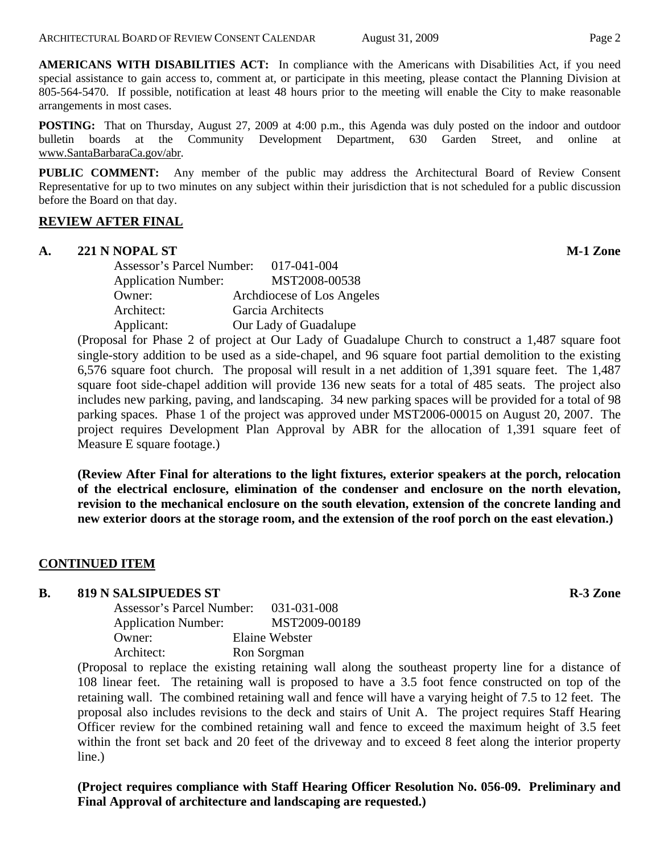**AMERICANS WITH DISABILITIES ACT:** In compliance with the Americans with Disabilities Act, if you need special assistance to gain access to, comment at, or participate in this meeting, please contact the Planning Division at 805-564-5470. If possible, notification at least 48 hours prior to the meeting will enable the City to make reasonable arrangements in most cases.

**POSTING:** That on Thursday, August 27, 2009 at 4:00 p.m., this Agenda was duly posted on the indoor and outdoor bulletin boards at the Community Development Department, 630 Garden Street, and online at www.SantaBarbaraCa.gov/abr.

**PUBLIC COMMENT:** Any member of the public may address the Architectural Board of Review Consent Representative for up to two minutes on any subject within their jurisdiction that is not scheduled for a public discussion before the Board on that day.

### **REVIEW AFTER FINAL**

#### **A. 221 N NOPAL ST M-1 Zone**

Assessor's Parcel Number: 017-041-004 Application Number: MST2008-00538 Owner: Archdiocese of Los Angeles Architect: Garcia Architects Applicant: Our Lady of Guadalupe

(Proposal for Phase 2 of project at Our Lady of Guadalupe Church to construct a 1,487 square foot single-story addition to be used as a side-chapel, and 96 square foot partial demolition to the existing 6,576 square foot church. The proposal will result in a net addition of 1,391 square feet. The 1,487 square foot side-chapel addition will provide 136 new seats for a total of 485 seats. The project also includes new parking, paving, and landscaping. 34 new parking spaces will be provided for a total of 98 parking spaces. Phase 1 of the project was approved under MST2006-00015 on August 20, 2007. The project requires Development Plan Approval by ABR for the allocation of 1,391 square feet of Measure E square footage.)

**(Review After Final for alterations to the light fixtures, exterior speakers at the porch, relocation of the electrical enclosure, elimination of the condenser and enclosure on the north elevation, revision to the mechanical enclosure on the south elevation, extension of the concrete landing and new exterior doors at the storage room, and the extension of the roof porch on the east elevation.)** 

### **CONTINUED ITEM**

#### **B.** 819 N SALSIPUEDES ST R-3 Zone

| Assessor's Parcel Number:  | 031-031-008    |
|----------------------------|----------------|
| <b>Application Number:</b> | MST2009-00189  |
| Owner:                     | Elaine Webster |
| Architect:                 | Ron Sorgman    |

(Proposal to replace the existing retaining wall along the southeast property line for a distance of 108 linear feet. The retaining wall is proposed to have a 3.5 foot fence constructed on top of the retaining wall. The combined retaining wall and fence will have a varying height of 7.5 to 12 feet. The proposal also includes revisions to the deck and stairs of Unit A. The project requires Staff Hearing Officer review for the combined retaining wall and fence to exceed the maximum height of 3.5 feet within the front set back and 20 feet of the driveway and to exceed 8 feet along the interior property line.)

**(Project requires compliance with Staff Hearing Officer Resolution No. 056-09. Preliminary and Final Approval of architecture and landscaping are requested.)**